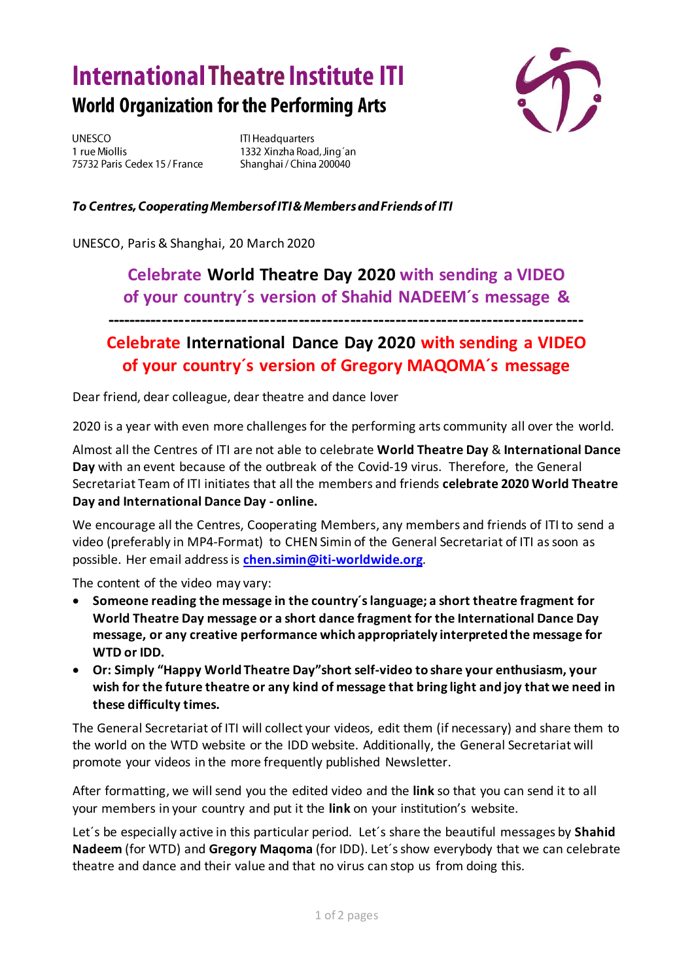## **International Theatre Institute ITI World Organization for the Performing Arts**



**UNESCO** 1 rue Miollis 75732 Paris Cedex 15 / France **ITI Headquarters** 1332 Xinzha Road, Jing'an Shanghai / China 200040

## To Centres, Cooperating Members of ITI & Members and Friends of ITI

UNESCO, Paris & Shanghai, 20 March 2020

## **Celebrate World Theatre Day 2020 with sending a VIDEO of your country´s version of Shahid NADEEM´s message &**

## **Celebrate International Dance Day 2020 with sending a VIDEO of your country´s version of Gregory MAQOMA´s message**

**------------------------------------------------------------------------------------**

Dear friend, dear colleague, dear theatre and dance lover

2020 is a year with even more challenges for the performing arts community all over the world.

Almost all the Centres of ITI are not able to celebrate **World Theatre Day** & **International Dance Day** with an event because of the outbreak of the Covid-19 virus. Therefore, the General Secretariat Team of ITI initiates that all the members and friends **celebrate 2020 World Theatre Day and International Dance Day - online.** 

We encourage all the Centres, Cooperating Members, any members and friends of ITI to send a video (preferably in MP4-Format) to CHEN Simin of the General Secretariat of ITI as soon as possible. Her email address is **[chen.simin@iti-worldwide.org](mailto:chen.simin@iti-worldwide.org)**.

The content of the video may vary:

- **Someone reading the message in the country´s language; a short theatre fragment for World Theatre Day message or a short dance fragment for the International Dance Day message, or any creative performance which appropriately interpreted the message for WTD or IDD.**
- **Or: Simply "Happy World Theatre Day"short self-video to share your enthusiasm, your wish for the future theatre or any kind of message that bring light and joy that we need in these difficulty times.**

The General Secretariat of ITI will collect your videos, edit them (if necessary) and share them to the world on the WTD website or the IDD website. Additionally, the General Secretariat will promote your videos in the more frequently published Newsletter.

After formatting, we will send you the edited video and the **link** so that you can send it to all your members in your country and put it the **link** on your institution's website.

Let´s be especially active in this particular period. Let´s share the beautiful messages by **Shahid Nadeem** (for WTD) and **Gregory Maqoma** (for IDD). Let´s show everybody that we can celebrate theatre and dance and their value and that no virus can stop us from doing this.